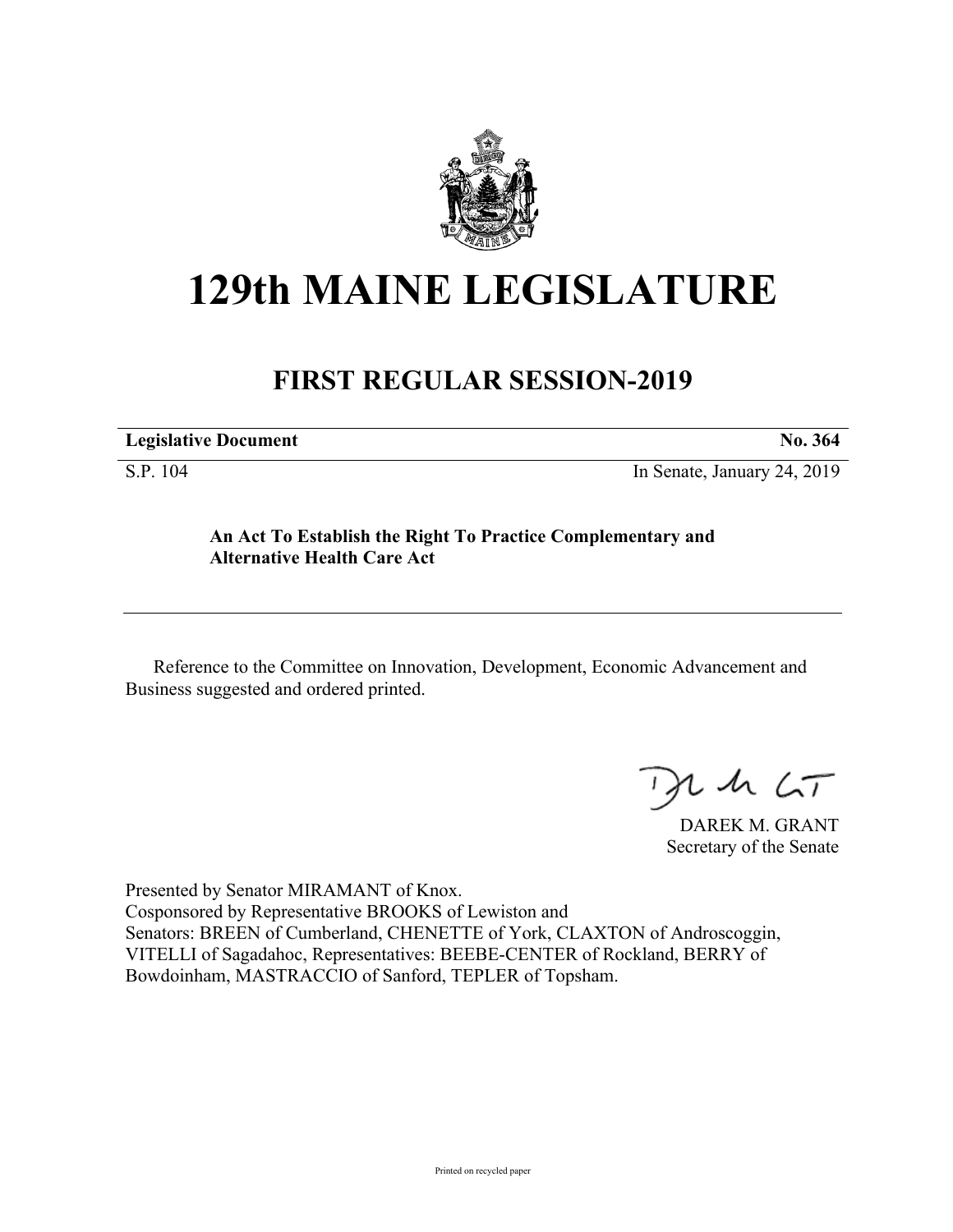

## **129th MAINE LEGISLATURE**

## **FIRST REGULAR SESSION-2019**

| <b>Legislative Document</b> | No. 364 |
|-----------------------------|---------|
|                             |         |

S.P. 104 In Senate, January 24, 2019

## **An Act To Establish the Right To Practice Complementary and Alternative Health Care Act**

Reference to the Committee on Innovation, Development, Economic Advancement and Business suggested and ordered printed.

 $125$ 

DAREK M. GRANT Secretary of the Senate

Presented by Senator MIRAMANT of Knox. Cosponsored by Representative BROOKS of Lewiston and Senators: BREEN of Cumberland, CHENETTE of York, CLAXTON of Androscoggin, VITELLI of Sagadahoc, Representatives: BEEBE-CENTER of Rockland, BERRY of Bowdoinham, MASTRACCIO of Sanford, TEPLER of Topsham.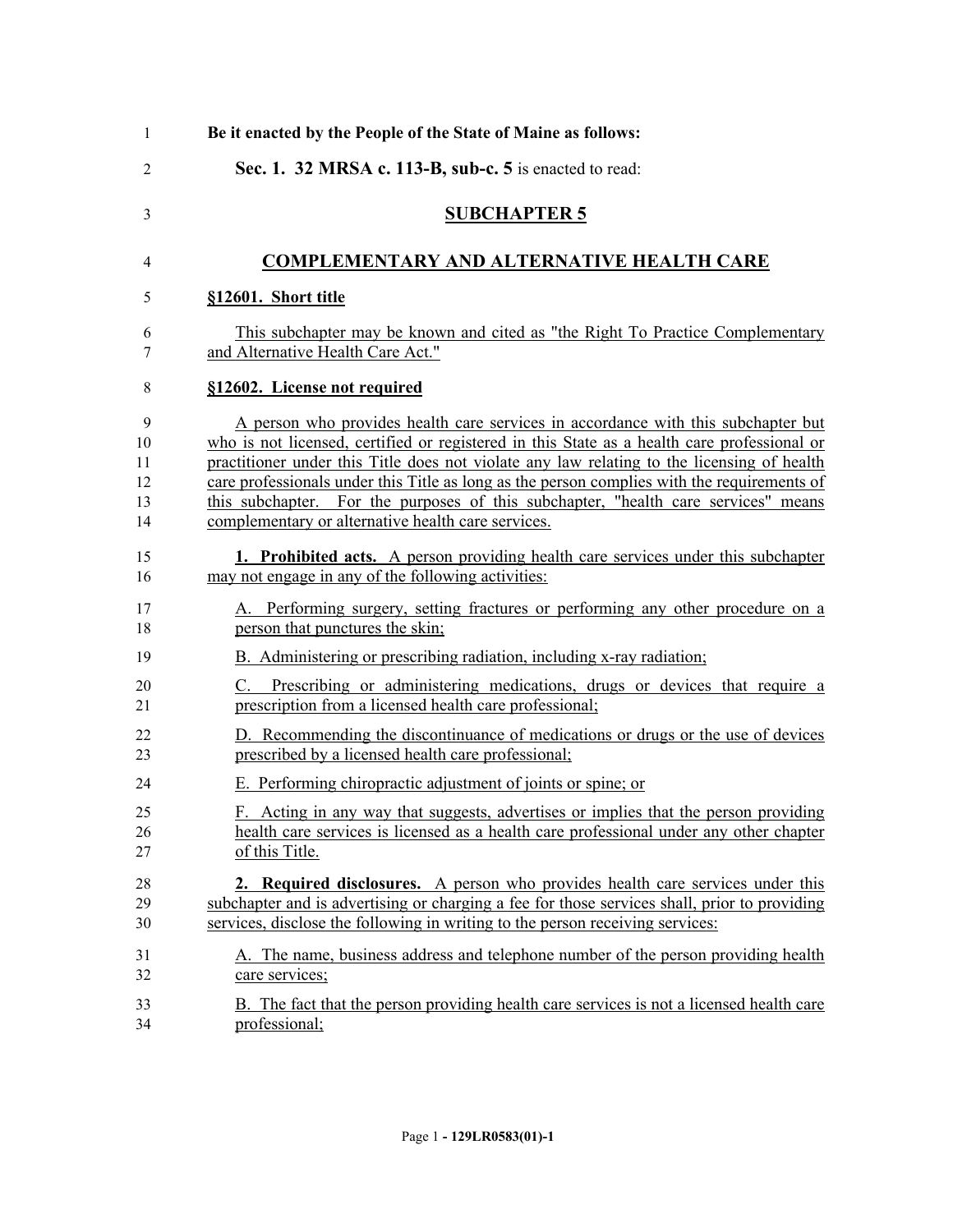| $\mathbf{1}$   | Be it enacted by the People of the State of Maine as follows:                                |
|----------------|----------------------------------------------------------------------------------------------|
| $\overline{2}$ | Sec. 1. 32 MRSA c. 113-B, sub-c. 5 is enacted to read:                                       |
| 3              | <b>SUBCHAPTER 5</b>                                                                          |
| 4              | <b>COMPLEMENTARY AND ALTERNATIVE HEALTH CARE</b>                                             |
| 5              | §12601. Short title                                                                          |
| 6              | This subchapter may be known and cited as "the Right To Practice Complementary"              |
| 7              | and Alternative Health Care Act."                                                            |
| 8              | §12602. License not required                                                                 |
| 9              | A person who provides health care services in accordance with this subchapter but            |
| 10             | who is not licensed, certified or registered in this State as a health care professional or  |
| 11             | practitioner under this Title does not violate any law relating to the licensing of health   |
| 12             | care professionals under this Title as long as the person complies with the requirements of  |
| 13             | this subchapter. For the purposes of this subchapter, "health care services" means           |
| 14             | complementary or alternative health care services.                                           |
| 15             | 1. Prohibited acts. A person providing health care services under this subchapter            |
| 16             | may not engage in any of the following activities:                                           |
| 17             | A. Performing surgery, setting fractures or performing any other procedure on a              |
| 18             | person that punctures the skin;                                                              |
| 19             | B. Administering or prescribing radiation, including x-ray radiation;                        |
| 20             | Prescribing or administering medications, drugs or devices that require a                    |
| 21             | prescription from a licensed health care professional;                                       |
| 22             | D. Recommending the discontinuance of medications or drugs or the use of devices             |
| 23             | prescribed by a licensed health care professional;                                           |
| 24             | E. Performing chiropractic adjustment of joints or spine; or                                 |
| 25             | F. Acting in any way that suggests, advertises or implies that the person providing          |
| 26             | health care services is licensed as a health care professional under any other chapter       |
| 27             | of this Title.                                                                               |
| 28             | <b>2. Required disclosures.</b> A person who provides health care services under this        |
| 29             | subchapter and is advertising or charging a fee for those services shall, prior to providing |
| 30             | services, disclose the following in writing to the person receiving services:                |
| 31             | A. The name, business address and telephone number of the person providing health            |
| 32             | care services;                                                                               |
| 33             | B. The fact that the person providing health care services is not a licensed health care     |
| 34             | professional;                                                                                |